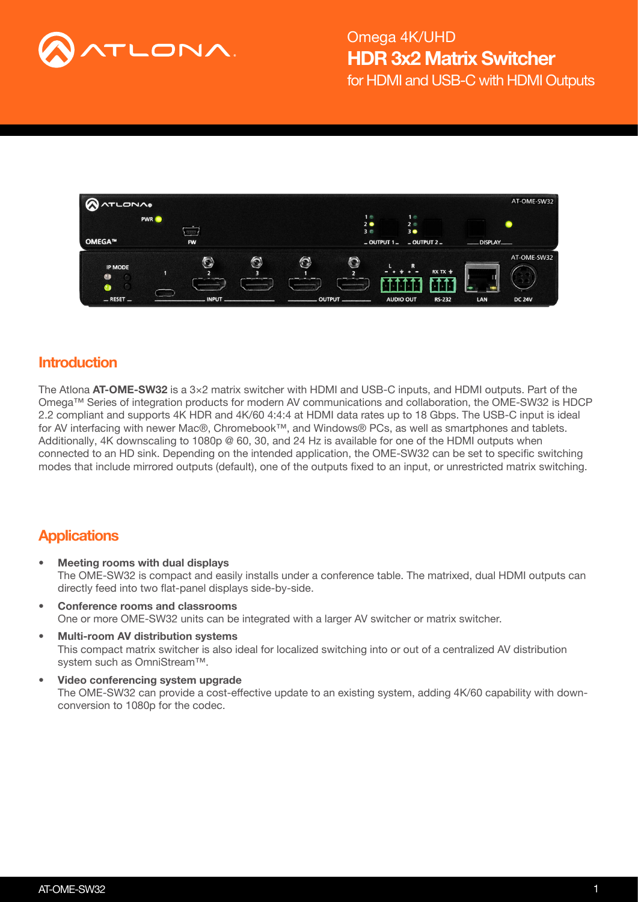



### **Introduction**

The Atlona  $AT-OME-SW32$  is a  $3\times2$  matrix switcher with HDMI and USB-C inputs, and HDMI outputs. Part of the Omega™ Series of integration products for modern AV communications and collaboration, the OME-SW32 is HDCP 2.2 compliant and supports 4K HDR and 4K/60 4:4:4 at HDMI data rates up to 18 Gbps. The USB-C input is ideal for AV interfacing with newer Mac®, Chromebook™, and Windows® PCs, as well as smartphones and tablets. Additionally, 4K downscaling to 1080p @ 60, 30, and 24 Hz is available for one of the HDMI outputs when connected to an HD sink. Depending on the intended application, the OME-SW32 can be set to specific switching modes that include mirrored outputs (default), one of the outputs fixed to an input, or unrestricted matrix switching.

### **Applications**

- Meeting rooms with dual displays The OME-SW32 is compact and easily installs under a conference table. The matrixed, dual HDMI outputs can directly feed into two flat-panel displays side-by-side.
- Conference rooms and classrooms One or more OME-SW32 units can be integrated with a larger AV switcher or matrix switcher.
- Multi-room AV distribution systems This compact matrix switcher is also ideal for localized switching into or out of a centralized AV distribution system such as OmniStream™.
- Video conferencing system upgrade The OME-SW32 can provide a cost-effective update to an existing system, adding 4K/60 capability with downconversion to 1080p for the codec.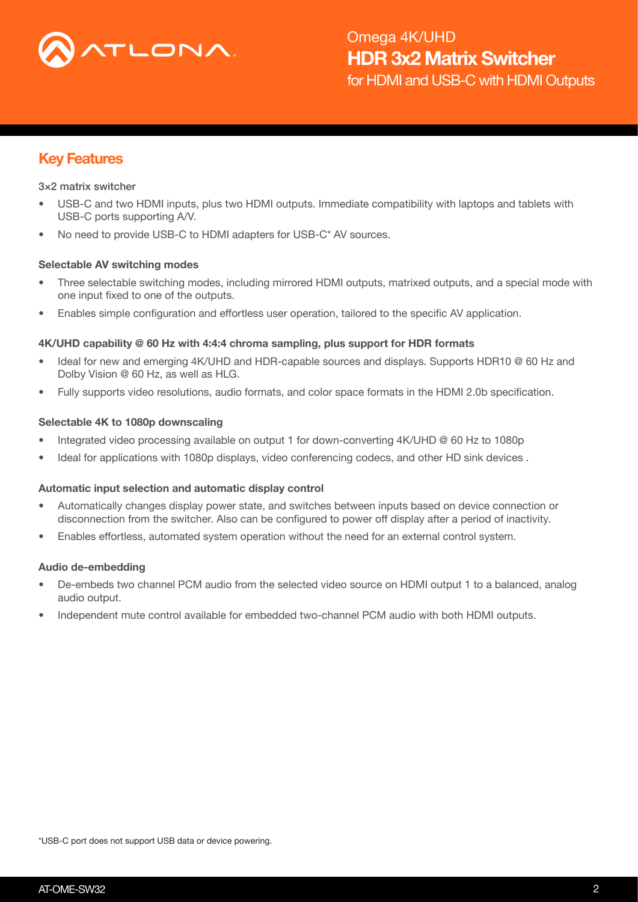

# Key Features

#### 3×2 matrix switcher

- USB-C and two HDMI inputs, plus two HDMI outputs. Immediate compatibility with laptops and tablets with USB-C ports supporting A/V.
- No need to provide USB-C to HDMI adapters for USB-C\* AV sources.

#### Selectable AV switching modes

- Three selectable switching modes, including mirrored HDMI outputs, matrixed outputs, and a special mode with one input fixed to one of the outputs.
- Enables simple configuration and effortless user operation, tailored to the specific AV application.

#### 4K/UHD capability @ 60 Hz with 4:4:4 chroma sampling, plus support for HDR formats

- Ideal for new and emerging 4K/UHD and HDR-capable sources and displays. Supports HDR10 @ 60 Hz and Dolby Vision @ 60 Hz, as well as HLG.
- Fully supports video resolutions, audio formats, and color space formats in the HDMI 2.0b specification.

#### Selectable 4K to 1080p downscaling

- Integrated video processing available on output 1 for down-converting 4K/UHD @ 60 Hz to 1080p
- Ideal for applications with 1080p displays, video conferencing codecs, and other HD sink devices.

#### Automatic input selection and automatic display control

- Automatically changes display power state, and switches between inputs based on device connection or disconnection from the switcher. Also can be configured to power off display after a period of inactivity.
- Enables effortless, automated system operation without the need for an external control system.

#### Audio de-embedding

- De-embeds two channel PCM audio from the selected video source on HDMI output 1 to a balanced, analog audio output.
- Independent mute control available for embedded two-channel PCM audio with both HDMI outputs.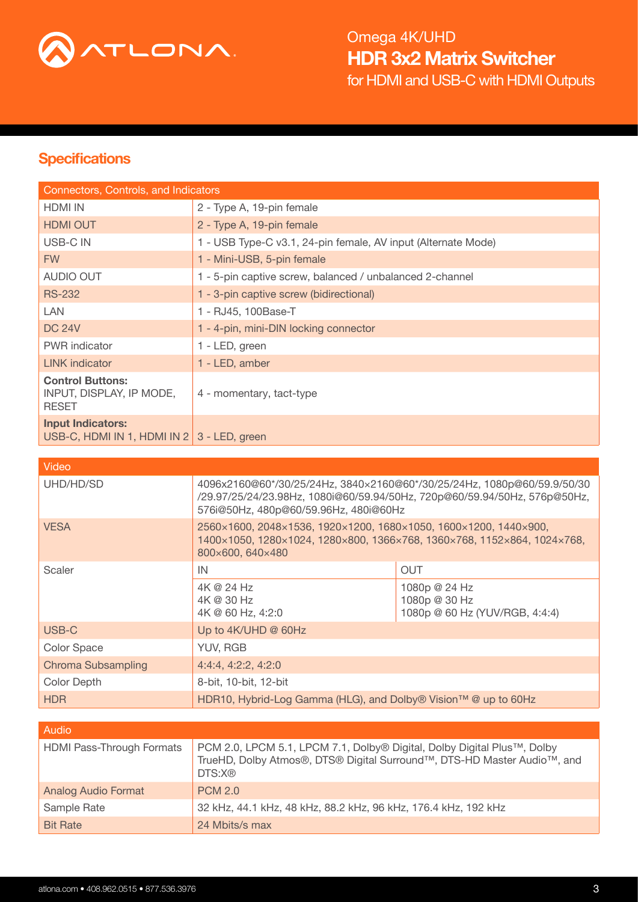

# **Specifications**

| Connectors, Controls, and Indicators                                     |                                                               |  |  |  |  |  |
|--------------------------------------------------------------------------|---------------------------------------------------------------|--|--|--|--|--|
| <b>HDMI IN</b>                                                           | 2 - Type A, 19-pin female                                     |  |  |  |  |  |
| <b>HDMI OUT</b>                                                          | 2 - Type A, 19-pin female                                     |  |  |  |  |  |
| USB-C IN                                                                 | 1 - USB Type-C v3.1, 24-pin female, AV input (Alternate Mode) |  |  |  |  |  |
| <b>FW</b>                                                                | 1 - Mini-USB, 5-pin female                                    |  |  |  |  |  |
| <b>AUDIO OUT</b>                                                         | 1 - 5-pin captive screw, balanced / unbalanced 2-channel      |  |  |  |  |  |
| <b>RS-232</b>                                                            | 1 - 3-pin captive screw (bidirectional)                       |  |  |  |  |  |
| LAN                                                                      | 1 - RJ45, 100Base-T                                           |  |  |  |  |  |
| <b>DC 24V</b>                                                            | 1 - 4-pin, mini-DIN locking connector                         |  |  |  |  |  |
| <b>PWR</b> indicator                                                     | 1 - LED, green                                                |  |  |  |  |  |
| <b>LINK</b> indicator                                                    | 1 - LED, amber                                                |  |  |  |  |  |
| <b>Control Buttons:</b><br>INPUT, DISPLAY, IP MODE,<br><b>RESET</b>      | 4 - momentary, tact-type                                      |  |  |  |  |  |
| <b>Input Indicators:</b><br>USB-C, HDMI IN 1, HDMI IN 2   3 - LED, green |                                                               |  |  |  |  |  |

| Video              |                                                                                                                                                                                               |                                                                  |  |  |  |
|--------------------|-----------------------------------------------------------------------------------------------------------------------------------------------------------------------------------------------|------------------------------------------------------------------|--|--|--|
| UHD/HD/SD          | 4096x2160@60*/30/25/24Hz, 3840x2160@60*/30/25/24Hz, 1080p@60/59.9/50/30<br>/29.97/25/24/23.98Hz, 1080i@60/59.94/50Hz, 720p@60/59.94/50Hz, 576p@50Hz,<br>576i@50Hz, 480p@60/59.96Hz, 480i@60Hz |                                                                  |  |  |  |
| <b>VESA</b>        | 2560×1600, 2048×1536, 1920×1200, 1680×1050, 1600×1200, 1440×900,<br>1400×1050, 1280×1024, 1280×800, 1366×768, 1360×768, 1152×864, 1024×768,<br>800×600, 640×480                               |                                                                  |  |  |  |
| Scaler             | IN                                                                                                                                                                                            | <b>OUT</b>                                                       |  |  |  |
|                    | 4K @ 24 Hz<br>4K @ 30 Hz<br>4K @ 60 Hz, 4:2:0                                                                                                                                                 | 1080p @ 24 Hz<br>1080p @ 30 Hz<br>1080p @ 60 Hz (YUV/RGB, 4:4:4) |  |  |  |
| USB-C              | Up to 4K/UHD @ 60Hz                                                                                                                                                                           |                                                                  |  |  |  |
| <b>Color Space</b> | YUV, RGB                                                                                                                                                                                      |                                                                  |  |  |  |
| Chroma Subsampling | 4:4:4, 4:2:2, 4:2:0                                                                                                                                                                           |                                                                  |  |  |  |
| <b>Color Depth</b> | 8-bit, 10-bit, 12-bit                                                                                                                                                                         |                                                                  |  |  |  |
| <b>HDR</b>         | HDR10, Hybrid-Log Gamma (HLG), and Dolby® Vision™ @ up to 60Hz                                                                                                                                |                                                                  |  |  |  |

| <b>Audio</b>                     |                                                                                                                                                              |
|----------------------------------|--------------------------------------------------------------------------------------------------------------------------------------------------------------|
| <b>HDMI Pass-Through Formats</b> | PCM 2.0, LPCM 5.1, LPCM 7.1, Dolby® Digital, Dolby Digital Plus™, Dolby<br>TrueHD, Dolby Atmos®, DTS® Digital Surround™, DTS-HD Master Audio™, and<br>DTS:X@ |
| <b>Analog Audio Format</b>       | <b>PCM 2.0</b>                                                                                                                                               |
| Sample Rate                      | 32 kHz, 44.1 kHz, 48 kHz, 88.2 kHz, 96 kHz, 176.4 kHz, 192 kHz                                                                                               |
| <b>Bit Rate</b>                  | 24 Mbits/s max                                                                                                                                               |